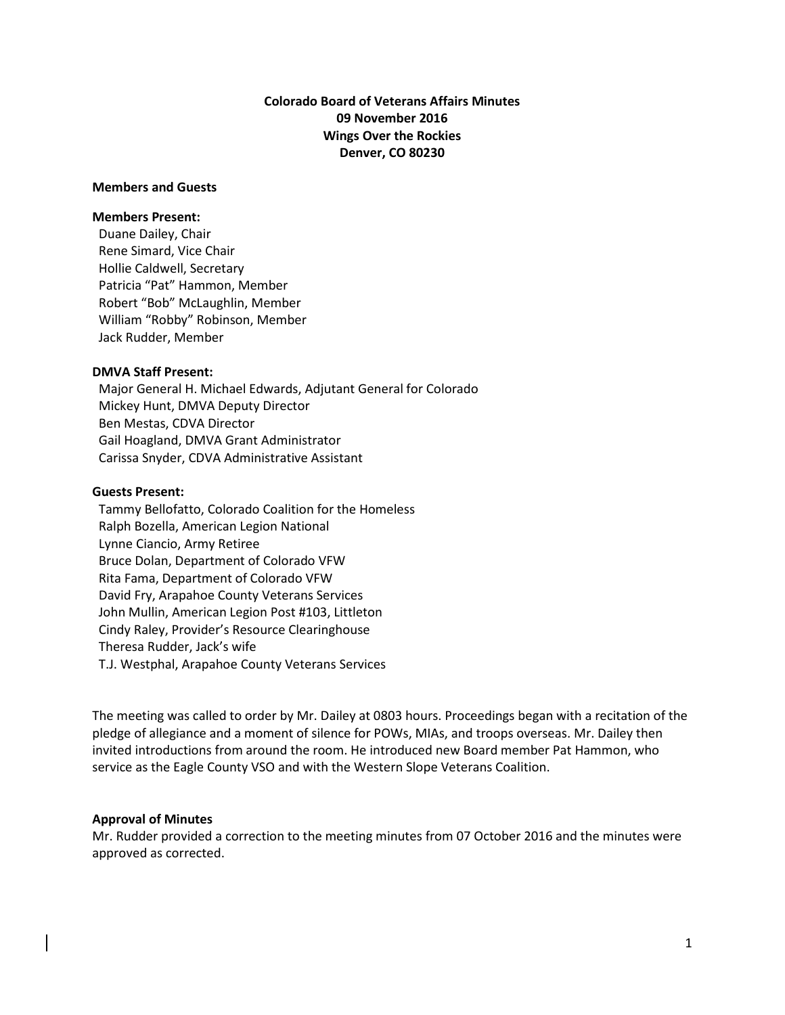# **Colorado Board of Veterans Affairs Minutes 09 November 2016 Wings Over the Rockies Denver, CO 80230**

#### **Members and Guests**

#### **Members Present:**

Duane Dailey, Chair Rene Simard, Vice Chair Hollie Caldwell, Secretary Patricia "Pat" Hammon, Member Robert "Bob" McLaughlin, Member William "Robby" Robinson, Member Jack Rudder, Member

#### **DMVA Staff Present:**

 Major General H. Michael Edwards, Adjutant General for Colorado Mickey Hunt, DMVA Deputy Director Ben Mestas, CDVA Director Gail Hoagland, DMVA Grant Administrator Carissa Snyder, CDVA Administrative Assistant

#### **Guests Present:**

Tammy Bellofatto, Colorado Coalition for the Homeless Ralph Bozella, American Legion National Lynne Ciancio, Army Retiree Bruce Dolan, Department of Colorado VFW Rita Fama, Department of Colorado VFW David Fry, Arapahoe County Veterans Services John Mullin, American Legion Post #103, Littleton Cindy Raley, Provider's Resource Clearinghouse Theresa Rudder, Jack's wife T.J. Westphal, Arapahoe County Veterans Services

The meeting was called to order by Mr. Dailey at 0803 hours. Proceedings began with a recitation of the pledge of allegiance and a moment of silence for POWs, MIAs, and troops overseas. Mr. Dailey then invited introductions from around the room. He introduced new Board member Pat Hammon, who service as the Eagle County VSO and with the Western Slope Veterans Coalition.

### **Approval of Minutes**

Mr. Rudder provided a correction to the meeting minutes from 07 October 2016 and the minutes were approved as corrected.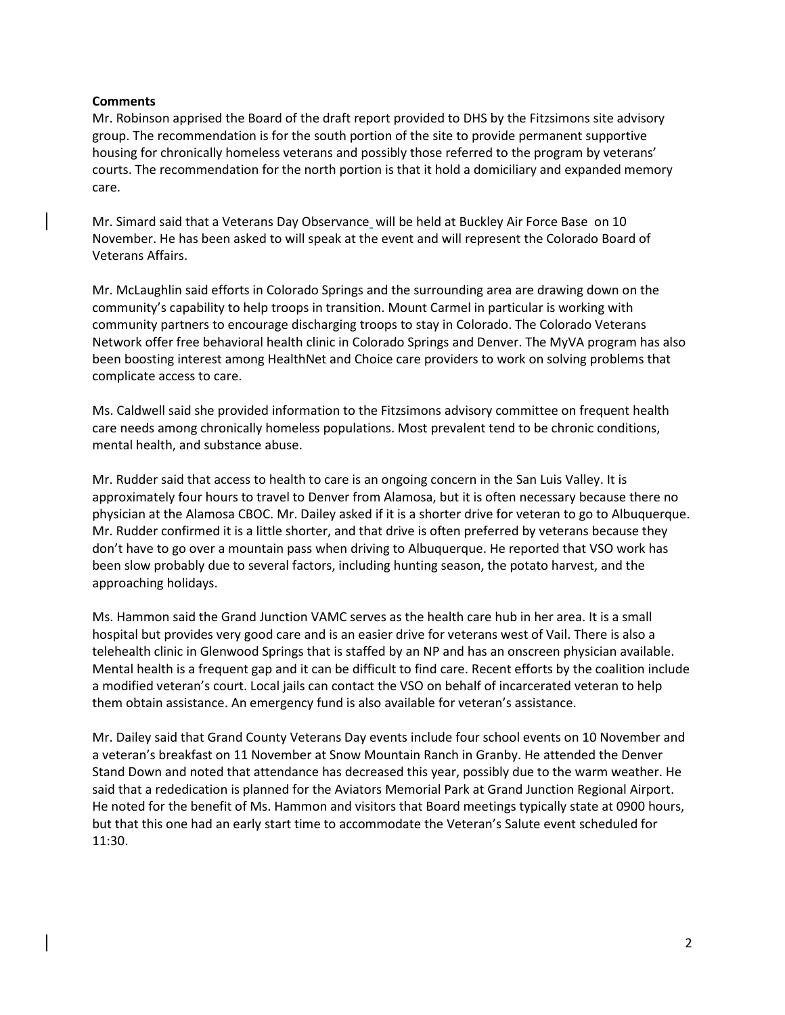### **Comments**

Mr. Robinson apprised the Board of the draft report provided to DHS by the Fitzsimons site advisory group. The recommendation is for the south portion of the site to provide permanent supportive housing for chronically homeless veterans and possibly those referred to the program by veterans' courts. The recommendation for the north portion is that it hold a domiciliary and expanded memory care.

Mr. Simard said that a Veterans Day Observance will be held at Buckley Air Force Base on 10 November. He has been asked to will speak at the event and will represent the Colorado Board of Veterans Affairs.

Mr. McLaughlin said efforts in Colorado Springs and the surrounding area are drawing down on the community's capability to help troops in transition. Mount Carmel in particular is working with community partners to encourage discharging troops to stay in Colorado. The Colorado Veterans Network offer free behavioral health clinic in Colorado Springs and Denver. The MyVA program has also been boosting interest among HealthNet and Choice care providers to work on solving problems that complicate access to care.

Ms. Caldwell said she provided information to the Fitzsimons advisory committee on frequent health care needs among chronically homeless populations. Most prevalent tend to be chronic conditions, mental health, and substance abuse.

Mr. Rudder said that access to health to care is an ongoing concern in the San Luis Valley. It is approximately four hours to travel to Denver from Alamosa, but it is often necessary because there no physician at the Alamosa CBOC. Mr. Dailey asked if it is a shorter drive for veteran to go to Albuquerque. Mr. Rudder confirmed it is a little shorter, and that drive is often preferred by veterans because they don't have to go over a mountain pass when driving to Albuquerque. He reported that VSO work has been slow probably due to several factors, including hunting season, the potato harvest, and the approaching holidays.

Ms. Hammon said the Grand Junction VAMC serves as the health care hub in her area. It is a small hospital but provides very good care and is an easier drive for veterans west of Vail. There is also a telehealth clinic in Glenwood Springs that is staffed by an NP and has an onscreen physician available. Mental health is a frequent gap and it can be difficult to find care. Recent efforts by the coalition include a modified veteran's court. Local jails can contact the VSO on behalf of incarcerated veteran to help them obtain assistance. An emergency fund is also available for veteran's assistance.

Mr. Dailey said that Grand County Veterans Day events include four school events on 10 November and a veteran's breakfast on 11 November at Snow Mountain Ranch in Granby. He attended the Denver Stand Down and noted that attendance has decreased this year, possibly due to the warm weather. He said that a rededication is planned for the Aviators Memorial Park at Grand Junction Regional Airport. He noted for the benefit of Ms. Hammon and visitors that Board meetings typically state at 0900 hours, but that this one had an early start time to accommodate the Veteran's Salute event scheduled for 11:30.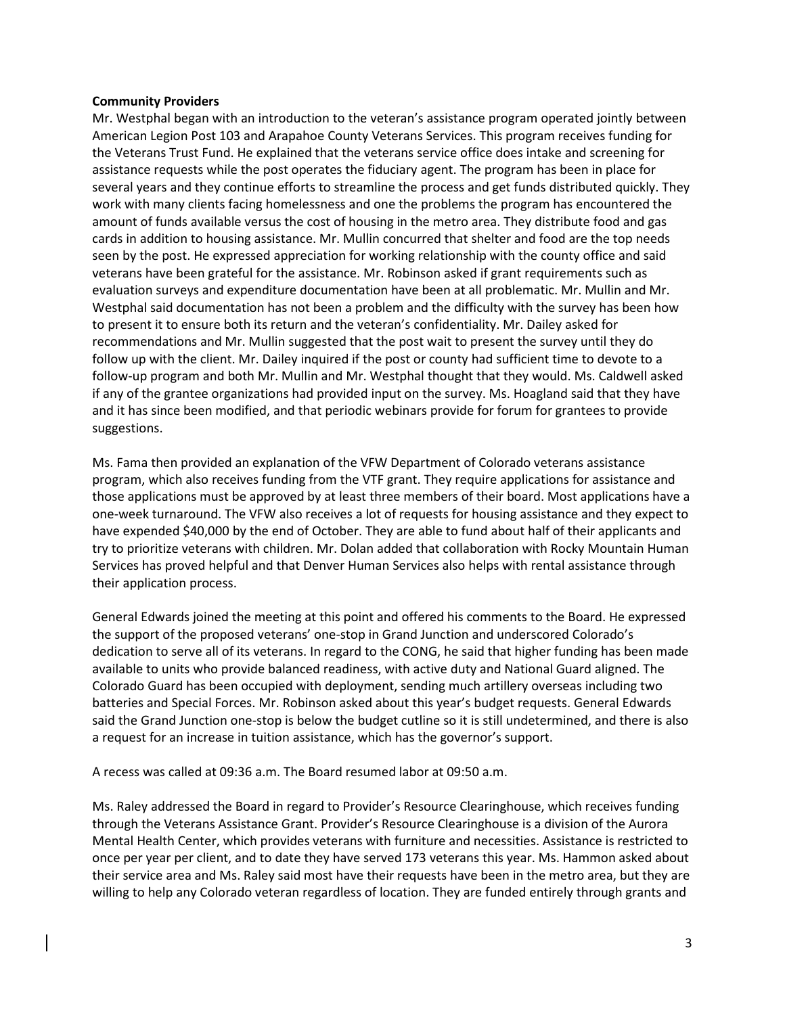### **Community Providers**

Mr. Westphal began with an introduction to the veteran's assistance program operated jointly between American Legion Post 103 and Arapahoe County Veterans Services. This program receives funding for the Veterans Trust Fund. He explained that the veterans service office does intake and screening for assistance requests while the post operates the fiduciary agent. The program has been in place for several years and they continue efforts to streamline the process and get funds distributed quickly. They work with many clients facing homelessness and one the problems the program has encountered the amount of funds available versus the cost of housing in the metro area. They distribute food and gas cards in addition to housing assistance. Mr. Mullin concurred that shelter and food are the top needs seen by the post. He expressed appreciation for working relationship with the county office and said veterans have been grateful for the assistance. Mr. Robinson asked if grant requirements such as evaluation surveys and expenditure documentation have been at all problematic. Mr. Mullin and Mr. Westphal said documentation has not been a problem and the difficulty with the survey has been how to present it to ensure both its return and the veteran's confidentiality. Mr. Dailey asked for recommendations and Mr. Mullin suggested that the post wait to present the survey until they do follow up with the client. Mr. Dailey inquired if the post or county had sufficient time to devote to a follow-up program and both Mr. Mullin and Mr. Westphal thought that they would. Ms. Caldwell asked if any of the grantee organizations had provided input on the survey. Ms. Hoagland said that they have and it has since been modified, and that periodic webinars provide for forum for grantees to provide suggestions.

Ms. Fama then provided an explanation of the VFW Department of Colorado veterans assistance program, which also receives funding from the VTF grant. They require applications for assistance and those applications must be approved by at least three members of their board. Most applications have a one-week turnaround. The VFW also receives a lot of requests for housing assistance and they expect to have expended \$40,000 by the end of October. They are able to fund about half of their applicants and try to prioritize veterans with children. Mr. Dolan added that collaboration with Rocky Mountain Human Services has proved helpful and that Denver Human Services also helps with rental assistance through their application process.

General Edwards joined the meeting at this point and offered his comments to the Board. He expressed the support of the proposed veterans' one-stop in Grand Junction and underscored Colorado's dedication to serve all of its veterans. In regard to the CONG, he said that higher funding has been made available to units who provide balanced readiness, with active duty and National Guard aligned. The Colorado Guard has been occupied with deployment, sending much artillery overseas including two batteries and Special Forces. Mr. Robinson asked about this year's budget requests. General Edwards said the Grand Junction one-stop is below the budget cutline so it is still undetermined, and there is also a request for an increase in tuition assistance, which has the governor's support.

A recess was called at 09:36 a.m. The Board resumed labor at 09:50 a.m.

Ms. Raley addressed the Board in regard to Provider's Resource Clearinghouse, which receives funding through the Veterans Assistance Grant. Provider's Resource Clearinghouse is a division of the Aurora Mental Health Center, which provides veterans with furniture and necessities. Assistance is restricted to once per year per client, and to date they have served 173 veterans this year. Ms. Hammon asked about their service area and Ms. Raley said most have their requests have been in the metro area, but they are willing to help any Colorado veteran regardless of location. They are funded entirely through grants and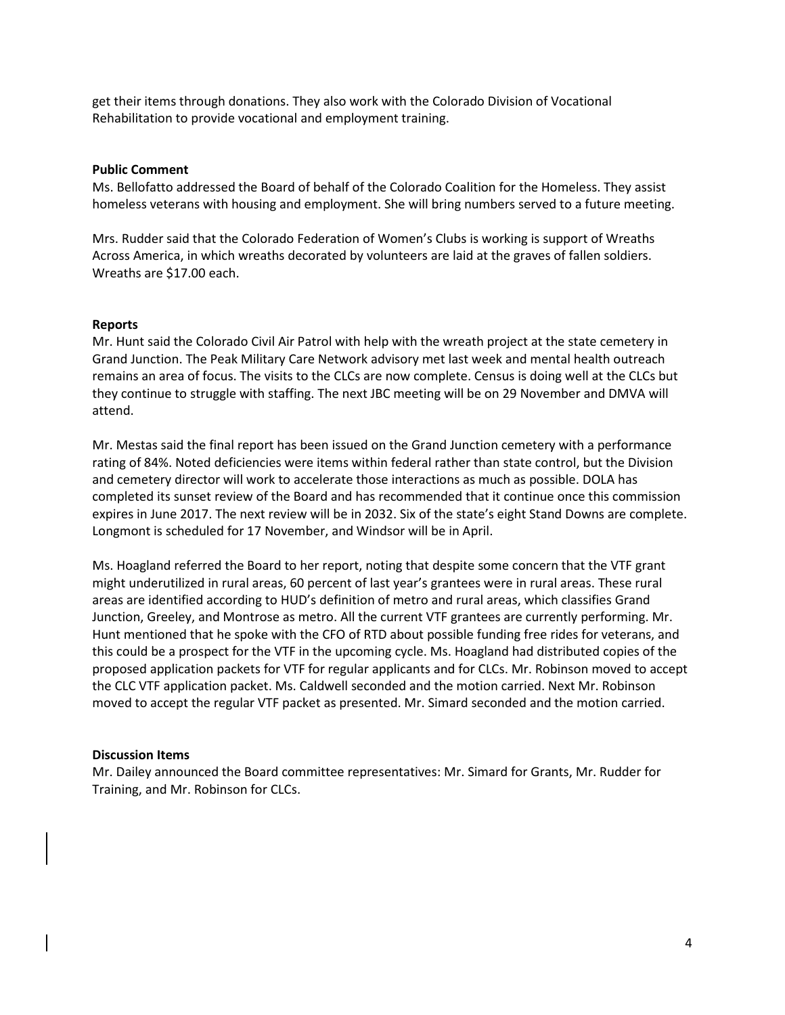get their items through donations. They also work with the Colorado Division of Vocational Rehabilitation to provide vocational and employment training.

### **Public Comment**

Ms. Bellofatto addressed the Board of behalf of the Colorado Coalition for the Homeless. They assist homeless veterans with housing and employment. She will bring numbers served to a future meeting.

Mrs. Rudder said that the Colorado Federation of Women's Clubs is working is support of Wreaths Across America, in which wreaths decorated by volunteers are laid at the graves of fallen soldiers. Wreaths are \$17.00 each.

### **Reports**

Mr. Hunt said the Colorado Civil Air Patrol with help with the wreath project at the state cemetery in Grand Junction. The Peak Military Care Network advisory met last week and mental health outreach remains an area of focus. The visits to the CLCs are now complete. Census is doing well at the CLCs but they continue to struggle with staffing. The next JBC meeting will be on 29 November and DMVA will attend.

Mr. Mestas said the final report has been issued on the Grand Junction cemetery with a performance rating of 84%. Noted deficiencies were items within federal rather than state control, but the Division and cemetery director will work to accelerate those interactions as much as possible. DOLA has completed its sunset review of the Board and has recommended that it continue once this commission expires in June 2017. The next review will be in 2032. Six of the state's eight Stand Downs are complete. Longmont is scheduled for 17 November, and Windsor will be in April.

Ms. Hoagland referred the Board to her report, noting that despite some concern that the VTF grant might underutilized in rural areas, 60 percent of last year's grantees were in rural areas. These rural areas are identified according to HUD's definition of metro and rural areas, which classifies Grand Junction, Greeley, and Montrose as metro. All the current VTF grantees are currently performing. Mr. Hunt mentioned that he spoke with the CFO of RTD about possible funding free rides for veterans, and this could be a prospect for the VTF in the upcoming cycle. Ms. Hoagland had distributed copies of the proposed application packets for VTF for regular applicants and for CLCs. Mr. Robinson moved to accept the CLC VTF application packet. Ms. Caldwell seconded and the motion carried. Next Mr. Robinson moved to accept the regular VTF packet as presented. Mr. Simard seconded and the motion carried.

## **Discussion Items**

Mr. Dailey announced the Board committee representatives: Mr. Simard for Grants, Mr. Rudder for Training, and Mr. Robinson for CLCs.